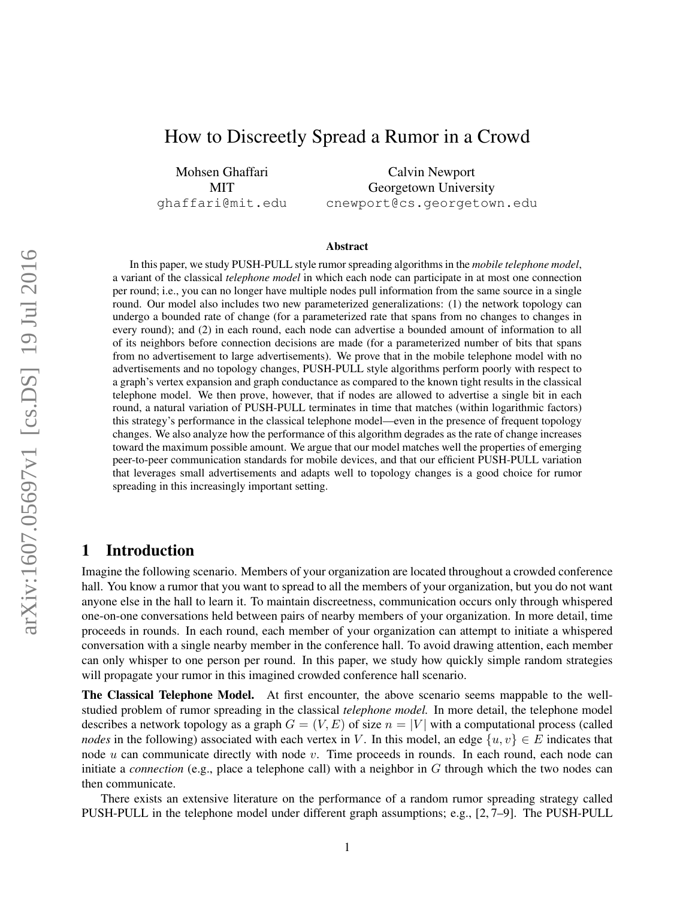## How to Discreetly Spread a Rumor in a Crowd

Mohsen Ghaffari MIT ghaffari@mit.edu

Calvin Newport Georgetown University cnewport@cs.georgetown.edu

#### Abstract

In this paper, we study PUSH-PULL style rumor spreading algorithms in the *mobile telephone model*, a variant of the classical *telephone model* in which each node can participate in at most one connection per round; i.e., you can no longer have multiple nodes pull information from the same source in a single round. Our model also includes two new parameterized generalizations: (1) the network topology can undergo a bounded rate of change (for a parameterized rate that spans from no changes to changes in every round); and (2) in each round, each node can advertise a bounded amount of information to all of its neighbors before connection decisions are made (for a parameterized number of bits that spans from no advertisement to large advertisements). We prove that in the mobile telephone model with no advertisements and no topology changes, PUSH-PULL style algorithms perform poorly with respect to a graph's vertex expansion and graph conductance as compared to the known tight results in the classical telephone model. We then prove, however, that if nodes are allowed to advertise a single bit in each round, a natural variation of PUSH-PULL terminates in time that matches (within logarithmic factors) this strategy's performance in the classical telephone model—even in the presence of frequent topology changes. We also analyze how the performance of this algorithm degrades as the rate of change increases toward the maximum possible amount. We argue that our model matches well the properties of emerging peer-to-peer communication standards for mobile devices, and that our efficient PUSH-PULL variation that leverages small advertisements and adapts well to topology changes is a good choice for rumor spreading in this increasingly important setting.

## 1 Introduction

Imagine the following scenario. Members of your organization are located throughout a crowded conference hall. You know a rumor that you want to spread to all the members of your organization, but you do not want anyone else in the hall to learn it. To maintain discreetness, communication occurs only through whispered one-on-one conversations held between pairs of nearby members of your organization. In more detail, time proceeds in rounds. In each round, each member of your organization can attempt to initiate a whispered conversation with a single nearby member in the conference hall. To avoid drawing attention, each member can only whisper to one person per round. In this paper, we study how quickly simple random strategies will propagate your rumor in this imagined crowded conference hall scenario.

The Classical Telephone Model. At first encounter, the above scenario seems mappable to the wellstudied problem of rumor spreading in the classical *telephone model.* In more detail, the telephone model describes a network topology as a graph  $G = (V, E)$  of size  $n = |V|$  with a computational process (called *nodes* in the following) associated with each vertex in V. In this model, an edge  $\{u, v\} \in E$  indicates that node  $u$  can communicate directly with node  $v$ . Time proceeds in rounds. In each round, each node can initiate a *connection* (e.g., place a telephone call) with a neighbor in G through which the two nodes can then communicate.

There exists an extensive literature on the performance of a random rumor spreading strategy called PUSH-PULL in the telephone model under different graph assumptions; e.g., [2, 7–9]. The PUSH-PULL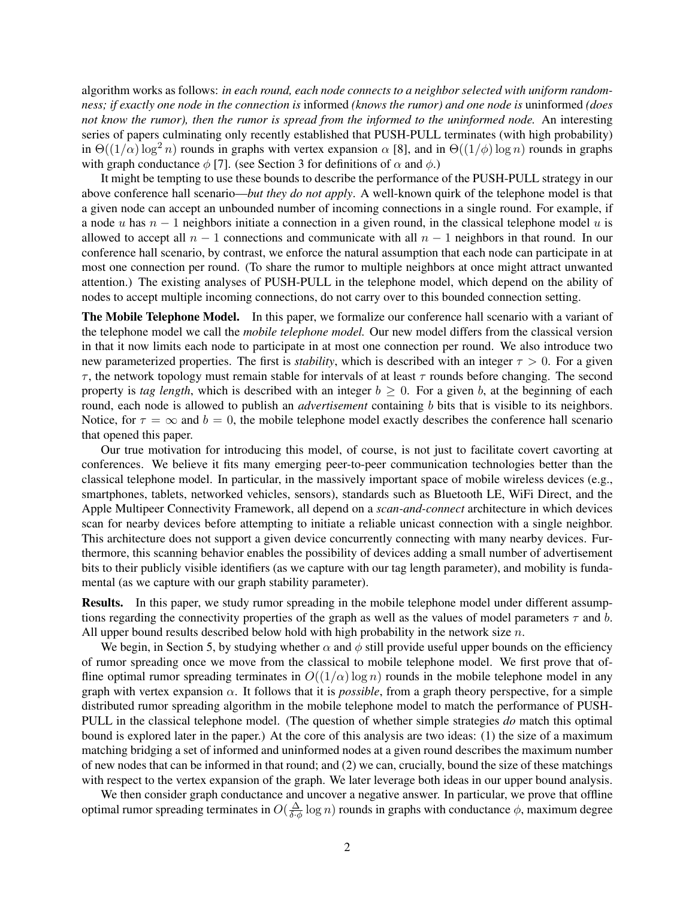algorithm works as follows: *in each round, each node connects to a neighbor selected with uniform randomness; if exactly one node in the connection is* informed *(knows the rumor) and one node is* uninformed *(does not know the rumor), then the rumor is spread from the informed to the uninformed node.* An interesting series of papers culminating only recently established that PUSH-PULL terminates (with high probability) in  $\Theta((1/\alpha) \log^2 n)$  rounds in graphs with vertex expansion  $\alpha$  [8], and in  $\Theta((1/\phi) \log n)$  rounds in graphs with graph conductance  $\phi$  [7]. (see Section 3 for definitions of  $\alpha$  and  $\phi$ .)

It might be tempting to use these bounds to describe the performance of the PUSH-PULL strategy in our above conference hall scenario—*but they do not apply*. A well-known quirk of the telephone model is that a given node can accept an unbounded number of incoming connections in a single round. For example, if a node u has  $n - 1$  neighbors initiate a connection in a given round, in the classical telephone model u is allowed to accept all  $n - 1$  connections and communicate with all  $n - 1$  neighbors in that round. In our conference hall scenario, by contrast, we enforce the natural assumption that each node can participate in at most one connection per round. (To share the rumor to multiple neighbors at once might attract unwanted attention.) The existing analyses of PUSH-PULL in the telephone model, which depend on the ability of nodes to accept multiple incoming connections, do not carry over to this bounded connection setting.

The Mobile Telephone Model. In this paper, we formalize our conference hall scenario with a variant of the telephone model we call the *mobile telephone model.* Our new model differs from the classical version in that it now limits each node to participate in at most one connection per round. We also introduce two new parameterized properties. The first is *stability*, which is described with an integer  $\tau > 0$ . For a given  $\tau$ , the network topology must remain stable for intervals of at least  $\tau$  rounds before changing. The second property is *tag length*, which is described with an integer  $b \ge 0$ . For a given b, at the beginning of each round, each node is allowed to publish an *advertisement* containing b bits that is visible to its neighbors. Notice, for  $\tau = \infty$  and  $b = 0$ , the mobile telephone model exactly describes the conference hall scenario that opened this paper.

Our true motivation for introducing this model, of course, is not just to facilitate covert cavorting at conferences. We believe it fits many emerging peer-to-peer communication technologies better than the classical telephone model. In particular, in the massively important space of mobile wireless devices (e.g., smartphones, tablets, networked vehicles, sensors), standards such as Bluetooth LE, WiFi Direct, and the Apple Multipeer Connectivity Framework, all depend on a *scan-and-connect* architecture in which devices scan for nearby devices before attempting to initiate a reliable unicast connection with a single neighbor. This architecture does not support a given device concurrently connecting with many nearby devices. Furthermore, this scanning behavior enables the possibility of devices adding a small number of advertisement bits to their publicly visible identifiers (as we capture with our tag length parameter), and mobility is fundamental (as we capture with our graph stability parameter).

Results. In this paper, we study rumor spreading in the mobile telephone model under different assumptions regarding the connectivity properties of the graph as well as the values of model parameters  $\tau$  and b. All upper bound results described below hold with high probability in the network size  $n$ .

We begin, in Section 5, by studying whether  $\alpha$  and  $\phi$  still provide useful upper bounds on the efficiency of rumor spreading once we move from the classical to mobile telephone model. We first prove that offline optimal rumor spreading terminates in  $O((1/\alpha) \log n)$  rounds in the mobile telephone model in any graph with vertex expansion  $\alpha$ . It follows that it is *possible*, from a graph theory perspective, for a simple distributed rumor spreading algorithm in the mobile telephone model to match the performance of PUSH-PULL in the classical telephone model. (The question of whether simple strategies *do* match this optimal bound is explored later in the paper.) At the core of this analysis are two ideas: (1) the size of a maximum matching bridging a set of informed and uninformed nodes at a given round describes the maximum number of new nodes that can be informed in that round; and (2) we can, crucially, bound the size of these matchings with respect to the vertex expansion of the graph. We later leverage both ideas in our upper bound analysis.

We then consider graph conductance and uncover a negative answer. In particular, we prove that offline optimal rumor spreading terminates in  $O(\frac{\Delta}{\delta \phi} \log n)$  rounds in graphs with conductance  $\phi$ , maximum degree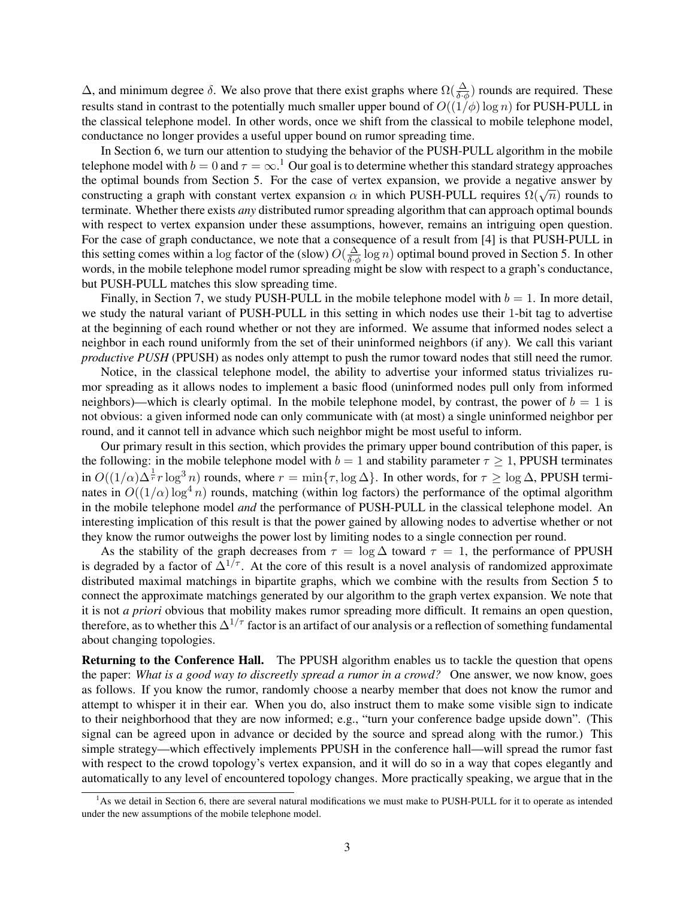$\Delta$ , and minimum degree δ. We also prove that there exist graphs where  $\Omega(\frac{\Delta}{\delta \cdot \phi})$  rounds are required. These results stand in contrast to the potentially much smaller upper bound of  $O((1/\phi) \log n)$  for PUSH-PULL in the classical telephone model. In other words, once we shift from the classical to mobile telephone model, conductance no longer provides a useful upper bound on rumor spreading time.

In Section 6, we turn our attention to studying the behavior of the PUSH-PULL algorithm in the mobile telephone model with  $b=0$  and  $\tau=\infty$ .<sup>1</sup> Our goal is to determine whether this standard strategy approaches the optimal bounds from Section 5. For the case of vertex expansion, we provide a negative answer by the optimal bounds from Section 5. For the case of vertex expansion, we provide a hegative answer by constructing a graph with constant vertex expansion  $\alpha$  in which PUSH-PULL requires  $\Omega(\sqrt{n})$  rounds to terminate. Whether there exists *any* distributed rumor spreading algorithm that can approach optimal bounds with respect to vertex expansion under these assumptions, however, remains an intriguing open question. For the case of graph conductance, we note that a consequence of a result from [4] is that PUSH-PULL in this setting comes within a log factor of the (slow)  $O(\frac{\Delta}{\delta \phi} \log n)$  optimal bound proved in Section 5. In other words, in the mobile telephone model rumor spreading might be slow with respect to a graph's conductance, but PUSH-PULL matches this slow spreading time.

Finally, in Section 7, we study PUSH-PULL in the mobile telephone model with  $b = 1$ . In more detail, we study the natural variant of PUSH-PULL in this setting in which nodes use their 1-bit tag to advertise at the beginning of each round whether or not they are informed. We assume that informed nodes select a neighbor in each round uniformly from the set of their uninformed neighbors (if any). We call this variant *productive PUSH* (PPUSH) as nodes only attempt to push the rumor toward nodes that still need the rumor.

Notice, in the classical telephone model, the ability to advertise your informed status trivializes rumor spreading as it allows nodes to implement a basic flood (uninformed nodes pull only from informed neighbors)—which is clearly optimal. In the mobile telephone model, by contrast, the power of  $b = 1$  is not obvious: a given informed node can only communicate with (at most) a single uninformed neighbor per round, and it cannot tell in advance which such neighbor might be most useful to inform.

Our primary result in this section, which provides the primary upper bound contribution of this paper, is the following: in the mobile telephone model with  $b = 1$  and stability parameter  $\tau \ge 1$ , PPUSH terminates in  $O((1/\alpha)\Delta^{\frac{1}{r}}r \log^3 n)$  rounds, where  $r = \min\{\tau, \log \Delta\}$ . In other words, for  $\tau \ge \log \Delta$ , PPUSH terminates in  $O((1/\alpha) \log^4 n)$  rounds, matching (within log factors) the performance of the optimal algorithm in the mobile telephone model *and* the performance of PUSH-PULL in the classical telephone model. An interesting implication of this result is that the power gained by allowing nodes to advertise whether or not they know the rumor outweighs the power lost by limiting nodes to a single connection per round.

As the stability of the graph decreases from  $\tau = \log \Delta$  toward  $\tau = 1$ , the performance of PPUSH is degraded by a factor of  $\tilde{\Delta}^{1/\tau}$ . At the core of this result is a novel analysis of randomized approximate distributed maximal matchings in bipartite graphs, which we combine with the results from Section 5 to connect the approximate matchings generated by our algorithm to the graph vertex expansion. We note that it is not *a priori* obvious that mobility makes rumor spreading more difficult. It remains an open question, therefore, as to whether this  $\Delta^{1/\tau}$  factor is an artifact of our analysis or a reflection of something fundamental about changing topologies.

Returning to the Conference Hall. The PPUSH algorithm enables us to tackle the question that opens the paper: *What is a good way to discreetly spread a rumor in a crowd?* One answer, we now know, goes as follows. If you know the rumor, randomly choose a nearby member that does not know the rumor and attempt to whisper it in their ear. When you do, also instruct them to make some visible sign to indicate to their neighborhood that they are now informed; e.g., "turn your conference badge upside down". (This signal can be agreed upon in advance or decided by the source and spread along with the rumor.) This simple strategy—which effectively implements PPUSH in the conference hall—will spread the rumor fast with respect to the crowd topology's vertex expansion, and it will do so in a way that copes elegantly and automatically to any level of encountered topology changes. More practically speaking, we argue that in the

 $<sup>1</sup>$ As we detail in Section 6, there are several natural modifications we must make to PUSH-PULL for it to operate as intended</sup> under the new assumptions of the mobile telephone model.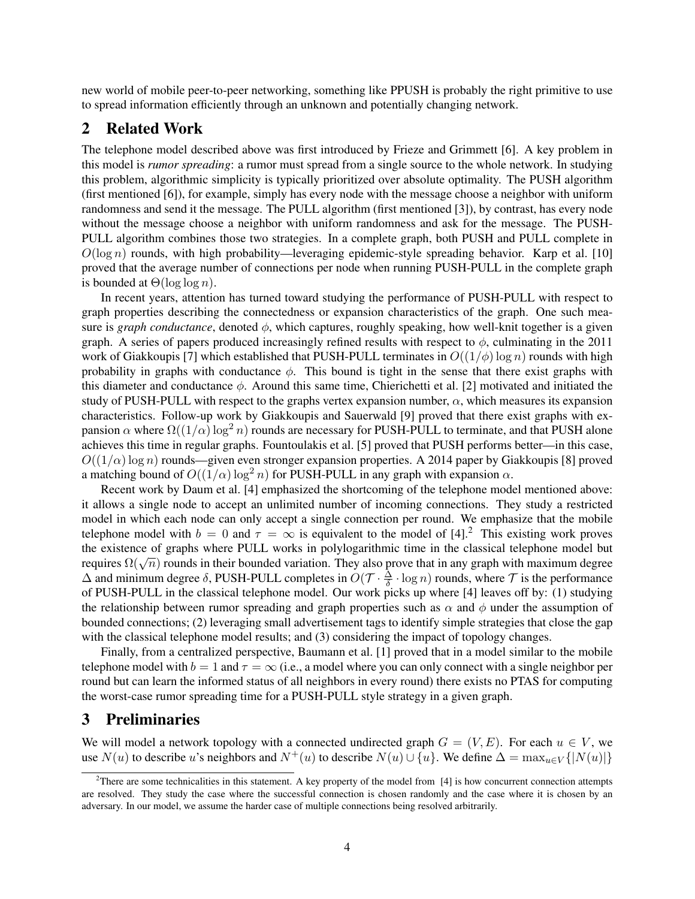new world of mobile peer-to-peer networking, something like PPUSH is probably the right primitive to use to spread information efficiently through an unknown and potentially changing network.

## 2 Related Work

The telephone model described above was first introduced by Frieze and Grimmett [6]. A key problem in this model is *rumor spreading*: a rumor must spread from a single source to the whole network. In studying this problem, algorithmic simplicity is typically prioritized over absolute optimality. The PUSH algorithm (first mentioned [6]), for example, simply has every node with the message choose a neighbor with uniform randomness and send it the message. The PULL algorithm (first mentioned [3]), by contrast, has every node without the message choose a neighbor with uniform randomness and ask for the message. The PUSH-PULL algorithm combines those two strategies. In a complete graph, both PUSH and PULL complete in  $O(\log n)$  rounds, with high probability—leveraging epidemic-style spreading behavior. Karp et al. [10] proved that the average number of connections per node when running PUSH-PULL in the complete graph is bounded at  $\Theta(\log \log n)$ .

In recent years, attention has turned toward studying the performance of PUSH-PULL with respect to graph properties describing the connectedness or expansion characteristics of the graph. One such measure is *graph conductance*, denoted  $\phi$ , which captures, roughly speaking, how well-knit together is a given graph. A series of papers produced increasingly refined results with respect to  $\phi$ , culminating in the 2011 work of Giakkoupis [7] which established that PUSH-PULL terminates in  $O((1/\phi) \log n)$  rounds with high probability in graphs with conductance  $\phi$ . This bound is tight in the sense that there exist graphs with this diameter and conductance  $\phi$ . Around this same time, Chierichetti et al. [2] motivated and initiated the study of PUSH-PULL with respect to the graphs vertex expansion number,  $\alpha$ , which measures its expansion characteristics. Follow-up work by Giakkoupis and Sauerwald [9] proved that there exist graphs with expansion  $\alpha$  where  $\Omega((1/\alpha)\log^2 n)$  rounds are necessary for PUSH-PULL to terminate, and that PUSH alone achieves this time in regular graphs. Fountoulakis et al. [5] proved that PUSH performs better—in this case,  $O((1/\alpha) \log n)$  rounds—given even stronger expansion properties. A 2014 paper by Giakkoupis [8] proved a matching bound of  $O((1/\alpha) \log^2 n)$  for PUSH-PULL in any graph with expansion  $\alpha$ .

Recent work by Daum et al. [4] emphasized the shortcoming of the telephone model mentioned above: it allows a single node to accept an unlimited number of incoming connections. They study a restricted model in which each node can only accept a single connection per round. We emphasize that the mobile telephone model with  $b = 0$  and  $\tau = \infty$  is equivalent to the model of [4].<sup>2</sup> This existing work proves the existence of graphs where PULL works in polylogarithmic time in the classical telephone model but the existence of graphs where POLL works in porylogarithmic time in the classical telephone model out<br>requires  $\Omega(\sqrt{n})$  rounds in their bounded variation. They also prove that in any graph with maximum degree  $\Delta$  and minimum degree  $\delta$ , PUSH-PULL completes in  $O(\mathcal{T} \cdot \frac{\overline{\Delta}}{\delta} \cdot \log n)$  rounds, where  $\mathcal T$  is the performance of PUSH-PULL in the classical telephone model. Our work picks up where [4] leaves off by: (1) studying the relationship between rumor spreading and graph properties such as  $\alpha$  and  $\phi$  under the assumption of bounded connections; (2) leveraging small advertisement tags to identify simple strategies that close the gap with the classical telephone model results; and (3) considering the impact of topology changes.

Finally, from a centralized perspective, Baumann et al. [1] proved that in a model similar to the mobile telephone model with  $b = 1$  and  $\tau = \infty$  (i.e., a model where you can only connect with a single neighbor per round but can learn the informed status of all neighbors in every round) there exists no PTAS for computing the worst-case rumor spreading time for a PUSH-PULL style strategy in a given graph.

## 3 Preliminaries

We will model a network topology with a connected undirected graph  $G = (V, E)$ . For each  $u \in V$ , we use  $N(u)$  to describe u's neighbors and  $N^+(u)$  to describe  $N(u) \cup \{u\}$ . We define  $\Delta = \max_{u \in V} \{|N(u)|\}$ 

 $2$ There are some technicalities in this statement. A key property of the model from [4] is how concurrent connection attempts are resolved. They study the case where the successful connection is chosen randomly and the case where it is chosen by an adversary. In our model, we assume the harder case of multiple connections being resolved arbitrarily.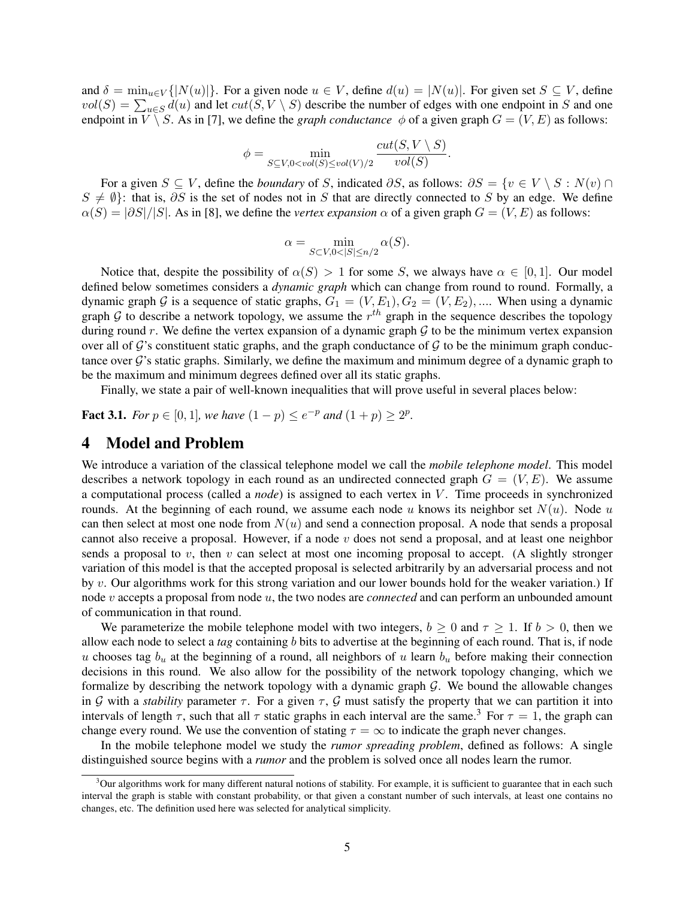and  $\delta = \min_{u \in V} \{|N(u)|\}$ . For a given node  $u \in V$ , define  $d(u) = |N(u)|$ . For given set  $S \subseteq V$ , define  $vol(S) = \sum_{u \in S} d(u)$  and let  $cut(S, V \setminus S)$  describe the number of edges with one endpoint in S and one endpoint in  $V \setminus S$ . As in [7], we define the *graph conductance*  $\phi$  of a given graph  $G = (V, E)$  as follows:

$$
\phi = \min_{S \subseteq V, 0 < vol(S) \le vol(V)/2} \frac{cut(S, V \setminus S)}{vol(S)}.
$$

For a given  $S \subseteq V$ , define the *boundary* of S, indicated ∂S, as follows:  $\partial S = \{v \in V \setminus S : N(v) \cap V\}$  $S \neq \emptyset$ : that is, ∂S is the set of nodes not in S that are directly connected to S by an edge. We define  $\alpha(S) = \frac{\partial S}{\partial S}$ . As in [8], we define the *vertex expansion*  $\alpha$  of a given graph  $G = (V, E)$  as follows:

$$
\alpha = \min_{S \subset V, 0 < |S| \le n/2} \alpha(S).
$$

Notice that, despite the possibility of  $\alpha(S) > 1$  for some S, we always have  $\alpha \in [0,1]$ . Our model defined below sometimes considers a *dynamic graph* which can change from round to round. Formally, a dynamic graph G is a sequence of static graphs,  $G_1 = (V, E_1), G_2 = (V, E_2), \dots$  When using a dynamic graph G to describe a network topology, we assume the  $r^{th}$  graph in the sequence describes the topology during round  $r$ . We define the vertex expansion of a dynamic graph  $G$  to be the minimum vertex expansion over all of G's constituent static graphs, and the graph conductance of G to be the minimum graph conductance over G's static graphs. Similarly, we define the maximum and minimum degree of a dynamic graph to be the maximum and minimum degrees defined over all its static graphs.

Finally, we state a pair of well-known inequalities that will prove useful in several places below:

**Fact 3.1.** For  $p \in [0, 1]$ , we have  $(1 - p) \le e^{-p}$  and  $(1 + p) \ge 2^p$ .

## 4 Model and Problem

We introduce a variation of the classical telephone model we call the *mobile telephone model*. This model describes a network topology in each round as an undirected connected graph  $G = (V, E)$ . We assume a computational process (called a *node*) is assigned to each vertex in V . Time proceeds in synchronized rounds. At the beginning of each round, we assume each node u knows its neighbor set  $N(u)$ . Node u can then select at most one node from  $N(u)$  and send a connection proposal. A node that sends a proposal cannot also receive a proposal. However, if a node  $v$  does not send a proposal, and at least one neighbor sends a proposal to v, then v can select at most one incoming proposal to accept. (A slightly stronger variation of this model is that the accepted proposal is selected arbitrarily by an adversarial process and not by v. Our algorithms work for this strong variation and our lower bounds hold for the weaker variation.) If node v accepts a proposal from node u, the two nodes are *connected* and can perform an unbounded amount of communication in that round.

We parameterize the mobile telephone model with two integers,  $b \ge 0$  and  $\tau \ge 1$ . If  $b > 0$ , then we allow each node to select a *tag* containing b bits to advertise at the beginning of each round. That is, if node u chooses tag  $b_u$  at the beginning of a round, all neighbors of u learn  $b_u$  before making their connection decisions in this round. We also allow for the possibility of the network topology changing, which we formalize by describing the network topology with a dynamic graph  $G$ . We bound the allowable changes in G with a *stability* parameter  $\tau$ . For a given  $\tau$ , G must satisfy the property that we can partition it into intervals of length  $\tau$ , such that all  $\tau$  static graphs in each interval are the same.<sup>3</sup> For  $\tau = 1$ , the graph can change every round. We use the convention of stating  $\tau = \infty$  to indicate the graph never changes.

In the mobile telephone model we study the *rumor spreading problem*, defined as follows: A single distinguished source begins with a *rumor* and the problem is solved once all nodes learn the rumor.

 $3$ Our algorithms work for many different natural notions of stability. For example, it is sufficient to guarantee that in each such interval the graph is stable with constant probability, or that given a constant number of such intervals, at least one contains no changes, etc. The definition used here was selected for analytical simplicity.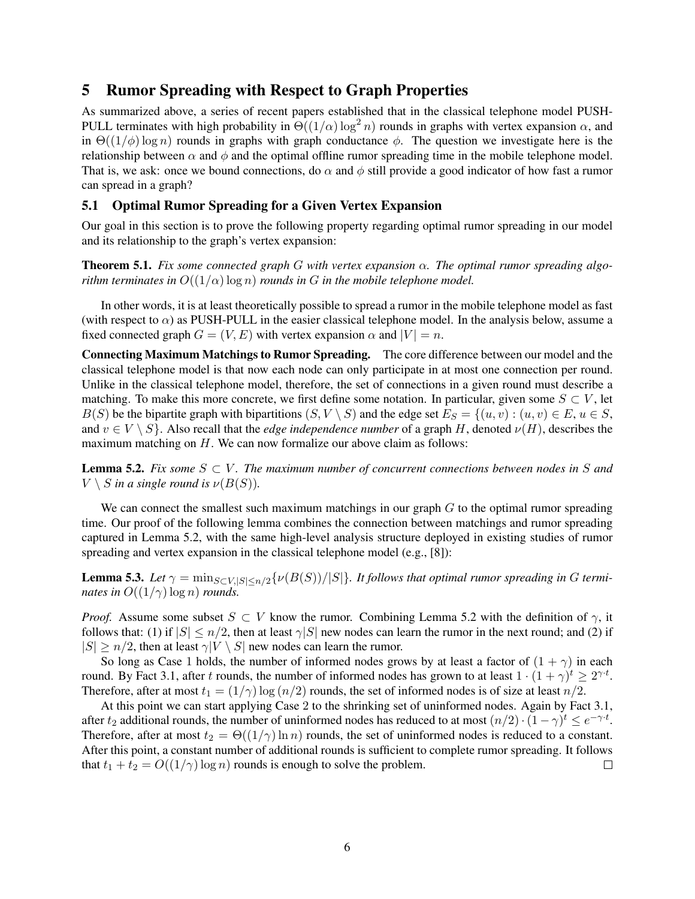## 5 Rumor Spreading with Respect to Graph Properties

As summarized above, a series of recent papers established that in the classical telephone model PUSH-PULL terminates with high probability in  $\Theta((1/\alpha) \log^2 n)$  rounds in graphs with vertex expansion  $\alpha$ , and in  $\Theta((1/\phi) \log n)$  rounds in graphs with graph conductance  $\phi$ . The question we investigate here is the relationship between  $\alpha$  and  $\phi$  and the optimal offline rumor spreading time in the mobile telephone model. That is, we ask: once we bound connections, do  $\alpha$  and  $\phi$  still provide a good indicator of how fast a rumor can spread in a graph?

## 5.1 Optimal Rumor Spreading for a Given Vertex Expansion

Our goal in this section is to prove the following property regarding optimal rumor spreading in our model and its relationship to the graph's vertex expansion:

Theorem 5.1. *Fix some connected graph* G *with vertex expansion* α*. The optimal rumor spreading algorithm terminates in*  $O((1/\alpha) \log n)$  *rounds in* G *in the mobile telephone model.* 

In other words, it is at least theoretically possible to spread a rumor in the mobile telephone model as fast (with respect to  $\alpha$ ) as PUSH-PULL in the easier classical telephone model. In the analysis below, assume a fixed connected graph  $G = (V, E)$  with vertex expansion  $\alpha$  and  $|V| = n$ .

Connecting Maximum Matchings to Rumor Spreading. The core difference between our model and the classical telephone model is that now each node can only participate in at most one connection per round. Unlike in the classical telephone model, therefore, the set of connections in a given round must describe a matching. To make this more concrete, we first define some notation. In particular, given some  $S \subset V$ , let  $B(S)$  be the bipartite graph with bipartitions  $(S, V \setminus S)$  and the edge set  $E_S = \{(u, v) : (u, v) \in E, u \in S, v \in S\}$ and  $v \in V \setminus S$ . Also recall that the *edge independence number* of a graph H, denoted  $\nu(H)$ , describes the maximum matching on  $H$ . We can now formalize our above claim as follows:

**Lemma 5.2.** Fix some  $S \subset V$ . The maximum number of concurrent connections between nodes in S and  $V \setminus S$  *in a single round is*  $\nu(B(S))$ *.* 

We can connect the smallest such maximum matchings in our graph  $G$  to the optimal rumor spreading time. Our proof of the following lemma combines the connection between matchings and rumor spreading captured in Lemma 5.2, with the same high-level analysis structure deployed in existing studies of rumor spreading and vertex expansion in the classical telephone model (e.g., [8]):

**Lemma 5.3.** *Let*  $\gamma = \min_{S \subset V, |S| \le n/2} \{ \nu(B(S)) / |S| \}$ *. It follows that optimal rumor spreading in G terminates in*  $O((1/\gamma) \log n)$  *rounds.* 

*Proof.* Assume some subset  $S \subset V$  know the rumor. Combining Lemma 5.2 with the definition of  $\gamma$ , it follows that: (1) if  $|S| \le n/2$ , then at least  $\gamma |S|$  new nodes can learn the rumor in the next round; and (2) if  $|S| \ge n/2$ , then at least  $\gamma |V \setminus S|$  new nodes can learn the rumor.

So long as Case 1 holds, the number of informed nodes grows by at least a factor of  $(1 + \gamma)$  in each round. By Fact 3.1, after t rounds, the number of informed nodes has grown to at least  $1 \cdot (1 + \gamma)^t \geq 2^{\gamma \cdot t}$ . Therefore, after at most  $t_1 = (1/\gamma) \log(n/2)$  rounds, the set of informed nodes is of size at least  $n/2$ .

At this point we can start applying Case 2 to the shrinking set of uninformed nodes. Again by Fact 3.1, after  $t_2$  additional rounds, the number of uninformed nodes has reduced to at most  $(n/2) \cdot (1 - \gamma)^t \le e^{-\gamma \cdot t}$ . Therefore, after at most  $t_2 = \Theta((1/\gamma) \ln n)$  rounds, the set of uninformed nodes is reduced to a constant. After this point, a constant number of additional rounds is sufficient to complete rumor spreading. It follows that  $t_1 + t_2 = O((1/\gamma) \log n)$  rounds is enough to solve the problem.  $\Box$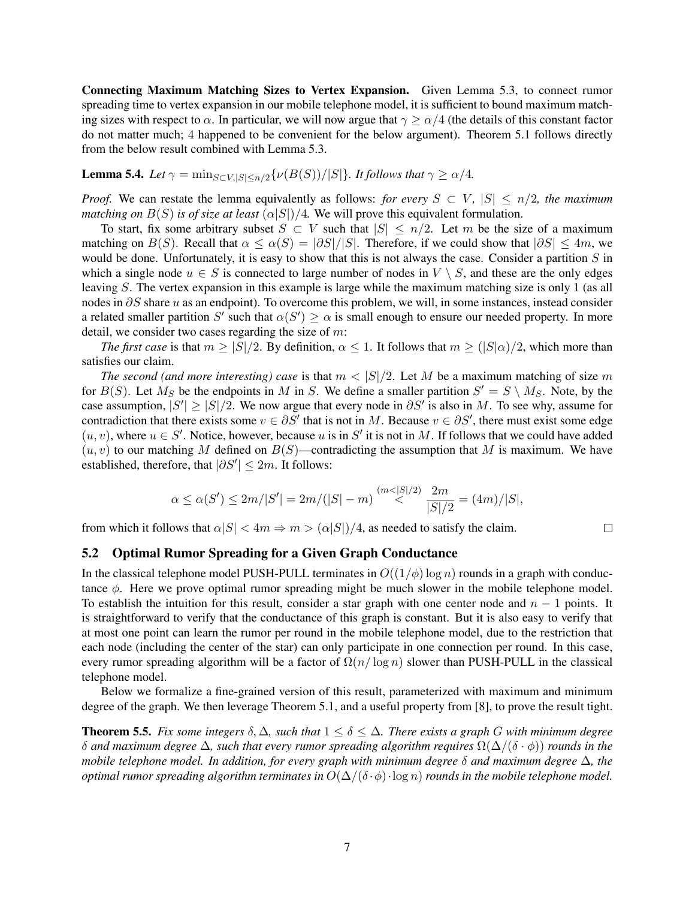Connecting Maximum Matching Sizes to Vertex Expansion. Given Lemma 5.3, to connect rumor spreading time to vertex expansion in our mobile telephone model, it is sufficient to bound maximum matching sizes with respect to  $\alpha$ . In particular, we will now argue that  $\gamma > \alpha/4$  (the details of this constant factor do not matter much; 4 happened to be convenient for the below argument). Theorem 5.1 follows directly from the below result combined with Lemma 5.3.

**Lemma 5.4.** *Let*  $\gamma = \min_{S \subset V, |S| \le n/2} \{ \nu(B(S)) / |S| \}$ *. It follows that*  $\gamma \ge \alpha/4$ *.* 

*Proof.* We can restate the lemma equivalently as follows: *for every*  $S \subset V$ *,*  $|S| \le n/2$ *, the maximum matching on*  $B(S)$  *is of size at least*  $(\alpha|S|)/4$ . We will prove this equivalent formulation.

To start, fix some arbitrary subset  $S \subset V$  such that  $|S| \leq n/2$ . Let m be the size of a maximum matching on  $B(S)$ . Recall that  $\alpha \leq \alpha(S) = |\partial S|/|S|$ . Therefore, if we could show that  $|\partial S| \leq 4m$ , we would be done. Unfortunately, it is easy to show that this is not always the case. Consider a partition  $S$  in which a single node  $u \in S$  is connected to large number of nodes in  $V \setminus S$ , and these are the only edges leaving S. The vertex expansion in this example is large while the maximum matching size is only 1 (as all nodes in ∂S share u as an endpoint). To overcome this problem, we will, in some instances, instead consider a related smaller partition S' such that  $\alpha(S') \ge \alpha$  is small enough to ensure our needed property. In more detail, we consider two cases regarding the size of  $m$ :

*The first case* is that  $m \geq |S|/2$ . By definition,  $\alpha \leq 1$ . It follows that  $m \geq (|S|\alpha)/2$ , which more than satisfies our claim.

*The second (and more interesting) case* is that  $m < |S|/2$ . Let M be a maximum matching of size m for  $B(S)$ . Let  $M_S$  be the endpoints in M in S. We define a smaller partition  $S' = S \setminus M_S$ . Note, by the case assumption,  $|S'| \geq |S|/2$ . We now argue that every node in  $\partial S'$  is also in M. To see why, assume for contradiction that there exists some  $v \in \partial S'$  that is not in M. Because  $v \in \partial S'$ , there must exist some edge  $(u, v)$ , where  $u \in S'$ . Notice, however, because u is in S' it is not in M. If follows that we could have added  $(u, v)$  to our matching M defined on  $B(S)$ —contradicting the assumption that M is maximum. We have established, therefore, that  $|\partial S'| \leq 2m$ . It follows:

$$
\alpha \le \alpha(S') \le 2m/|S'| = 2m/(|S|-m) \stackrel{(m<|S|/2)}{<} \frac{2m}{|S|/2} = (4m)/|S|,
$$

 $\Box$ 

from which it follows that  $\alpha|S| < 4m \Rightarrow m > (\alpha|S|)/4$ , as needed to satisfy the claim.

#### 5.2 Optimal Rumor Spreading for a Given Graph Conductance

In the classical telephone model PUSH-PULL terminates in  $O((1/\phi) \log n)$  rounds in a graph with conductance  $\phi$ . Here we prove optimal rumor spreading might be much slower in the mobile telephone model. To establish the intuition for this result, consider a star graph with one center node and  $n - 1$  points. It is straightforward to verify that the conductance of this graph is constant. But it is also easy to verify that at most one point can learn the rumor per round in the mobile telephone model, due to the restriction that each node (including the center of the star) can only participate in one connection per round. In this case, every rumor spreading algorithm will be a factor of  $\Omega(n/\log n)$  slower than PUSH-PULL in the classical telephone model.

Below we formalize a fine-grained version of this result, parameterized with maximum and minimum degree of the graph. We then leverage Theorem 5.1, and a useful property from [8], to prove the result tight.

**Theorem 5.5.** Fix some integers  $\delta, \Delta$ , such that  $1 \leq \delta \leq \Delta$ . There exists a graph G with minimum degree δ *and maximum degree* ∆*, such that every rumor spreading algorithm requires* Ω(∆/(δ · φ)) *rounds in the mobile telephone model. In addition, for every graph with minimum degree* δ *and maximum degree* ∆*, the optimal rumor spreading algorithm terminates in*  $O(\Delta/(\delta \cdot \phi) \cdot \log n)$  *rounds in the mobile telephone model.*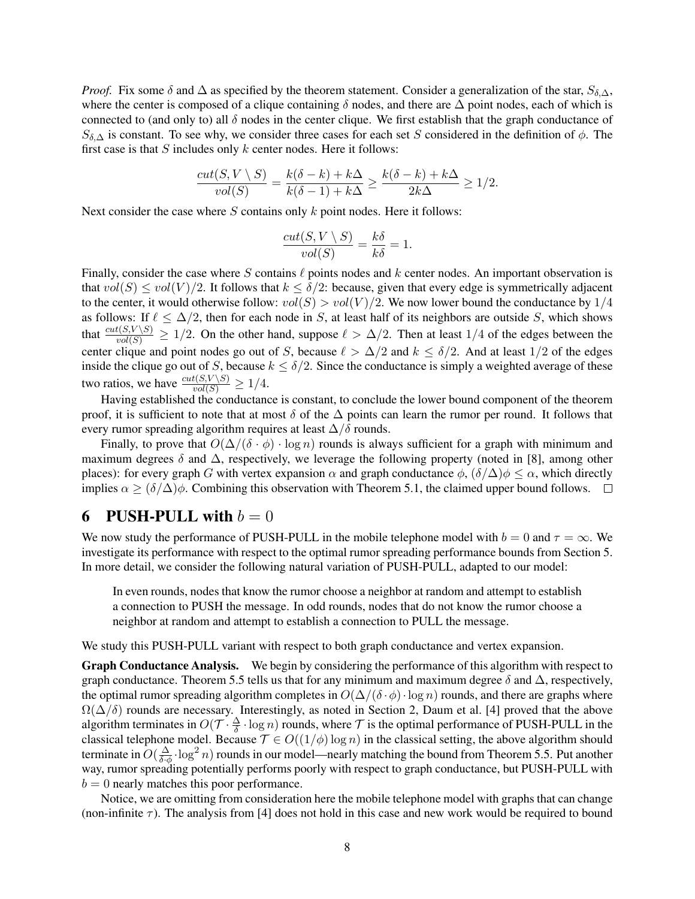*Proof.* Fix some  $\delta$  and  $\Delta$  as specified by the theorem statement. Consider a generalization of the star,  $S_{\delta,\Delta}$ , where the center is composed of a clique containing  $\delta$  nodes, and there are  $\Delta$  point nodes, each of which is connected to (and only to) all  $\delta$  nodes in the center clique. We first establish that the graph conductance of  $S_{\delta,\Delta}$  is constant. To see why, we consider three cases for each set S considered in the definition of  $\phi$ . The first case is that  $S$  includes only  $k$  center nodes. Here it follows:

$$
\frac{cut(S, V \setminus S)}{vol(S)} = \frac{k(\delta - k) + k\Delta}{k(\delta - 1) + k\Delta} \ge \frac{k(\delta - k) + k\Delta}{2k\Delta} \ge 1/2.
$$

Next consider the case where  $S$  contains only  $k$  point nodes. Here it follows:

$$
\frac{cut(S, V \setminus S)}{vol(S)} = \frac{k\delta}{k\delta} = 1.
$$

Finally, consider the case where S contains  $\ell$  points nodes and k center nodes. An important observation is that  $vol(S) \le vol(V)/2$ . It follows that  $k \le \delta/2$ : because, given that every edge is symmetrically adjacent to the center, it would otherwise follow:  $vol(S) > vol(V)/2$ . We now lower bound the conductance by 1/4 as follows: If  $\ell \leq \Delta/2$ , then for each node in S, at least half of its neighbors are outside S, which shows that  $\frac{cut(S,V \setminus S)}{vol(S)} \ge 1/2$ . On the other hand, suppose  $\ell > \Delta/2$ . Then at least  $1/4$  of the edges between the center clique and point nodes go out of S, because  $\ell > \Delta/2$  and  $k \le \delta/2$ . And at least  $1/2$  of the edges inside the clique go out of S, because  $k \leq \delta/2$ . Since the conductance is simply a weighted average of these two ratios, we have  $\frac{cut(S, V \setminus S)}{vol(S)} \ge 1/4$ .

Having established the conductance is constant, to conclude the lower bound component of the theorem proof, it is sufficient to note that at most  $\delta$  of the  $\Delta$  points can learn the rumor per round. It follows that every rumor spreading algorithm requires at least  $\Delta/\delta$  rounds.

Finally, to prove that  $O(\Delta/(\delta \cdot \phi) \cdot \log n)$  rounds is always sufficient for a graph with minimum and maximum degrees  $\delta$  and  $\Delta$ , respectively, we leverage the following property (noted in [8], among other places): for every graph G with vertex expansion  $\alpha$  and graph conductance  $\phi$ ,  $(\delta/\Delta)\phi \leq \alpha$ , which directly implies  $\alpha \ge (\delta/\Delta)\phi$ . Combining this observation with Theorem 5.1, the claimed upper bound follows.  $\Box$ 

## 6 PUSH-PULL with  $b = 0$

We now study the performance of PUSH-PULL in the mobile telephone model with  $b = 0$  and  $\tau = \infty$ . We investigate its performance with respect to the optimal rumor spreading performance bounds from Section 5. In more detail, we consider the following natural variation of PUSH-PULL, adapted to our model:

In even rounds, nodes that know the rumor choose a neighbor at random and attempt to establish a connection to PUSH the message. In odd rounds, nodes that do not know the rumor choose a neighbor at random and attempt to establish a connection to PULL the message.

We study this PUSH-PULL variant with respect to both graph conductance and vertex expansion.

**Graph Conductance Analysis.** We begin by considering the performance of this algorithm with respect to graph conductance. Theorem 5.5 tells us that for any minimum and maximum degree  $\delta$  and  $\Delta$ , respectively, the optimal rumor spreading algorithm completes in  $O(\Delta/(\delta \cdot \phi) \cdot \log n)$  rounds, and there are graphs where  $\Omega(\Delta/\delta)$  rounds are necessary. Interestingly, as noted in Section 2, Daum et al. [4] proved that the above algorithm terminates in  $O(\mathcal{T} \cdot \frac{\Delta}{\delta} \cdot \log n)$  rounds, where  $\mathcal T$  is the optimal performance of PUSH-PULL in the classical telephone model. Because  $\mathcal{T} \in O((1/\phi) \log n)$  in the classical setting, the above algorithm should terminate in  $O(\frac{\Delta}{\delta \phi} \cdot \log^2 n)$  rounds in our model—nearly matching the bound from Theorem 5.5. Put another way, rumor spreading potentially performs poorly with respect to graph conductance, but PUSH-PULL with  $b = 0$  nearly matches this poor performance.

Notice, we are omitting from consideration here the mobile telephone model with graphs that can change (non-infinite  $\tau$ ). The analysis from [4] does not hold in this case and new work would be required to bound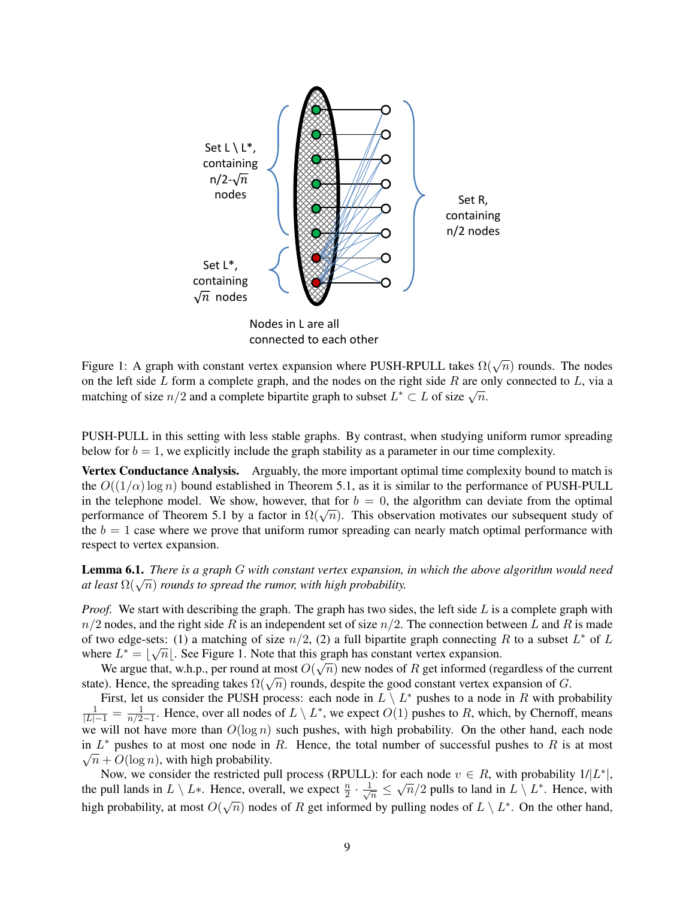

connected to each other

Figure 1: A graph with constant vertex expansion where PUSH-RPULL takes  $\Omega(\sqrt{n})$  rounds. The nodes on the left side  $L$  form a complete graph, and the nodes on the right side  $R$  are only connected to  $L$ , via a on the left side L form a complete graph, and the hodes on the right side *n* are of matching of size  $n/2$  and a complete bipartite graph to subset  $L^* \subset L$  of size  $\sqrt{n}$ .

PUSH-PULL in this setting with less stable graphs. By contrast, when studying uniform rumor spreading below for  $b = 1$ , we explicitly include the graph stability as a parameter in our time complexity.

Vertex Conductance Analysis. Arguably, the more important optimal time complexity bound to match is the  $O((1/\alpha) \log n)$  bound established in Theorem 5.1, as it is similar to the performance of PUSH-PULL in the telephone model. We show, however, that for  $b = 0$ , the algorithm can deviate from the optimal In the telephone model. We show, however, that for  $v = 0$ , the algorithm can deviate from the optimal performance of Theorem 5.1 by a factor in  $\Omega(\sqrt{n})$ . This observation motivates our subsequent study of the  $b = 1$  case where we prove that uniform rumor spreading can nearly match optimal performance with respect to vertex expansion.

Lemma 6.1. *There is a graph* G *with constant vertex expansion, in which the above algorithm would need* **Lemma 6.1.** *There is a graph* G with constant vertex expansion, at least  $\Omega(\sqrt{n})$  rounds to spread the rumor, with high probability.

*Proof.* We start with describing the graph. The graph has two sides, the left side L is a complete graph with  $n/2$  nodes, and the right side R is an independent set of size  $n/2$ . The connection between L and R is made of two edge-sets: (1) a matching of size  $n/2$ , (2) a full bipartite graph connecting R to a subset  $L^*$  of L where  $L^* = \lfloor \sqrt{n} \rfloor$ . See Figure 1. Note that this graph has constant vertex expansion.

We argue that, w.h.p., per round at most  $O(\sqrt{n})$  new nodes of  $R$  get informed (regardless of the current we argue that, w.n.p., per round at most  $O(\sqrt{n})$  hew houes or  $n$  get mrorined (regardless or the state). Hence, the spreading takes  $\Omega(\sqrt{n})$  rounds, despite the good constant vertex expansion of G.

First, let us consider the PUSH process: each node in  $L \setminus L^*$  pushes to a node in R with probability  $\frac{1}{|L|-1} = \frac{1}{n/2}$  $\frac{1}{n/2-1}$ . Hence, over all nodes of  $L \setminus L^*$ , we expect  $O(1)$  pushes to R, which, by Chernoff, means we will not have more than  $O(\log n)$  such pushes, with high probability. On the other hand, each node in  $L^*$  pushes to at most one node in R. Hence, the total number of successful pushes to R is at most  $\sqrt{n} + O(\log n)$ , with high probability.

Now, we consider the restricted pull process (RPULL): for each node  $v \in R$ , with probability  $1/|L^*|$ , the pull lands in  $L \setminus L^*$ . Hence, overall, we expect  $\frac{n}{2} \cdot \frac{1}{\sqrt{n}}$ Suite to pull process (KPULL). For each hode  $v \in R$ , with probability  $I/L$  |,<br>
ence, overall, we expect  $\frac{n}{2} \cdot \frac{1}{\sqrt{n}} \leq \sqrt{n}/2$  pulls to land in  $L \setminus L^*$ . Hence, with high probability, at most  $O(\sqrt{n})$  nodes of R get informed by pulling nodes of  $L \setminus L^*$ . On the other hand,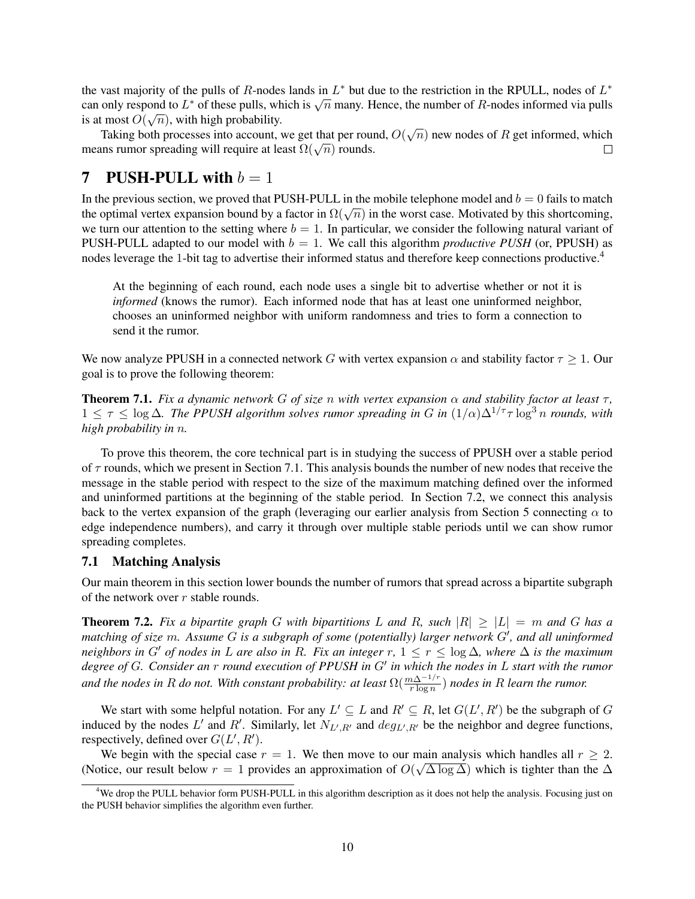the vast majority of the pulls of R-nodes lands in  $L^*$  but due to the restriction in the RPULL, nodes of  $L^*$ the vast majority of the pulls of *R*-nodes rands in *L* but due to the restriction in the KPULL, hodes of *L* can only respond to  $L^*$  of these pulls, which is  $\sqrt{n}$  many. Hence, the number of *R*-nodes informed via pu is at most  $O(\sqrt{n})$ , with high probability.

Taking both processes into account, we get that per round,  $O(\sqrt{n})$  new nodes of R get informed, which Taking both processes into account, we get that per four<br>means rumor spreading will require at least  $\Omega(\sqrt{n})$  rounds.  $\Box$ 

## 7 PUSH-PULL with  $b = 1$

In the previous section, we proved that PUSH-PULL in the mobile telephone model and  $b = 0$  fails to match In the previous section, we proved that POSH-POLE in the mobile telephone moder and  $v = 0$  rans to match<br>the optimal vertex expansion bound by a factor in  $\Omega(\sqrt{n})$  in the worst case. Motivated by this shortcoming, we turn our attention to the setting where  $b = 1$ . In particular, we consider the following natural variant of PUSH-PULL adapted to our model with  $b = 1$ . We call this algorithm *productive PUSH* (or, PPUSH) as nodes leverage the 1-bit tag to advertise their informed status and therefore keep connections productive.<sup>4</sup>

At the beginning of each round, each node uses a single bit to advertise whether or not it is *informed* (knows the rumor). Each informed node that has at least one uninformed neighbor, chooses an uninformed neighbor with uniform randomness and tries to form a connection to send it the rumor.

We now analyze PPUSH in a connected network G with vertex expansion  $\alpha$  and stability factor  $\tau \geq 1$ . Our goal is to prove the following theorem:

**Theorem 7.1.** *Fix a dynamic network* G *of size n with vertex expansion*  $\alpha$  *and stability factor at least*  $\tau$ *,*  $1 \leq \tau \leq \log \Delta$ . The PPUSH algorithm solves rumor spreading in G in  $(1/\alpha)\Delta^{1/\tau} \tau \log^3 n$  rounds, with *high probability in* n*.*

To prove this theorem, the core technical part is in studying the success of PPUSH over a stable period of  $\tau$  rounds, which we present in Section 7.1. This analysis bounds the number of new nodes that receive the message in the stable period with respect to the size of the maximum matching defined over the informed and uninformed partitions at the beginning of the stable period. In Section 7.2, we connect this analysis back to the vertex expansion of the graph (leveraging our earlier analysis from Section 5 connecting  $\alpha$  to edge independence numbers), and carry it through over multiple stable periods until we can show rumor spreading completes.

### 7.1 Matching Analysis

Our main theorem in this section lower bounds the number of rumors that spread across a bipartite subgraph of the network over  $r$  stable rounds.

**Theorem 7.2.** Fix a bipartite graph G with bipartitions L and R, such  $|R| \geq |L| = m$  and G has a matching of size m. Assume G is a subgraph of some (potentially) larger network G<sup>'</sup>, and all uninformed *neighbors in* G' *of nodes in* L *are also in* R. Fix an integer r,  $1 \leq r \leq \log \Delta$ , where  $\Delta$  *is the maximum* degree of G. Consider an r *round execution of PPUSH in G' in which the nodes in* L start with the rumor and the nodes in R do not. With constant probability: at least  $\Omega(\frac{m\Delta^{-1/r}}{r\log n})$  nodes in R learn the rumor.

We start with some helpful notation. For any  $L' \subseteq L$  and  $R' \subseteq R$ , let  $G(L', R')$  be the subgraph of G induced by the nodes L' and R'. Similarly, let  $N_{L',R'}$  and  $deg_{L',R'}$  be the neighbor and degree functions, respectively, defined over  $G(L', R')$ .

We begin with the special case  $r = 1$ . We then move to our main analysis which handles all  $r \geq 2$ . (Notice, our result below  $r = 1$  provides an approximation of  $O(\sqrt{\Delta \log \Delta})$  which is tighter than the  $\Delta$ 

<sup>&</sup>lt;sup>4</sup>We drop the PULL behavior form PUSH-PULL in this algorithm description as it does not help the analysis. Focusing just on the PUSH behavior simplifies the algorithm even further.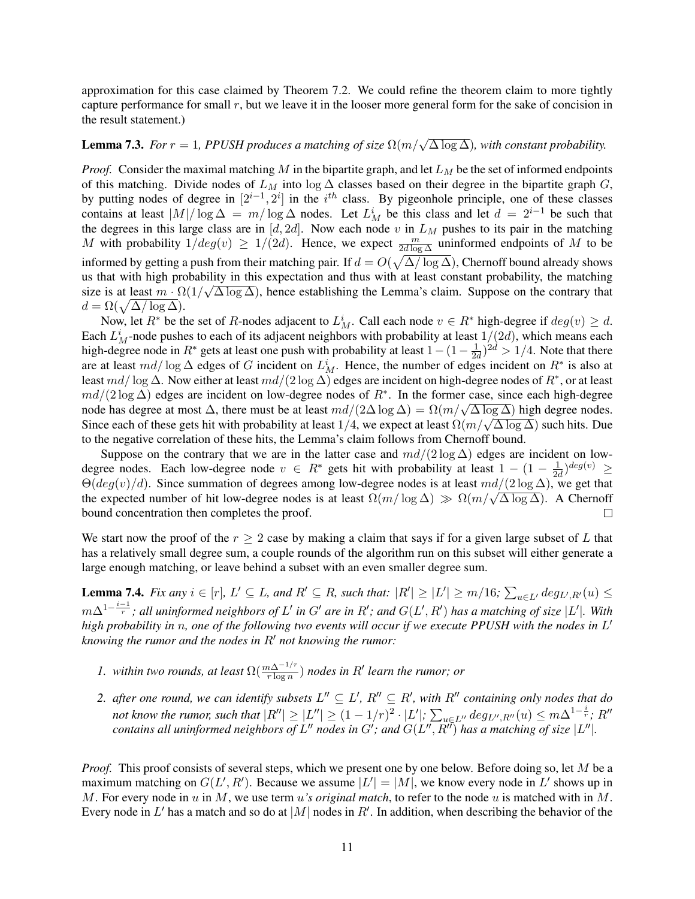approximation for this case claimed by Theorem 7.2. We could refine the theorem claim to more tightly capture performance for small  $r$ , but we leave it in the looser more general form for the sake of concision in the result statement.)

# **Lemma 7.3.** *For*  $r = 1$ , PPUSH produces a matching of size  $\Omega(m/\sqrt{\Delta \log \Delta})$ , with constant probability.

*Proof.* Consider the maximal matching M in the bipartite graph, and let  $L_M$  be the set of informed endpoints of this matching. Divide nodes of  $L_M$  into log  $\Delta$  classes based on their degree in the bipartite graph G, by putting nodes of degree in  $[2^{i-1}, 2^i]$  in the  $i^{th}$  class. By pigeonhole principle, one of these classes contains at least  $|M|/\log \Delta = m/\log \Delta$  nodes. Let  $L_M^i$  be this class and let  $d = 2^{i-1}$  be such that the degrees in this large class are in  $[d, 2d]$ . Now each node v in  $L_M$  pushes to its pair in the matching M with probability  $1/deg(v) \ge 1/(2d)$ . Hence, we expect  $\frac{m}{2d \log \Delta}$  uninformed endpoints of M to be informed by getting a push from their matching pair. If  $d = O(\sqrt{\Delta/\log \Delta})$ , Chernoff bound already shows us that with high probability in this expectation and thus with at least constant probability, the matching size is at least  $m \cdot \Omega(1/\sqrt{\Delta \log \Delta})$ , hence establishing the Lemma's claim. Suppose on the contrary that  $d = \Omega(\sqrt{\Delta/\log \Delta}).$ 

Now, let  $R^*$  be the set of R-nodes adjacent to  $L_M^i$ . Call each node  $v \in R^*$  high-degree if  $deg(v) \geq d$ . Each  $L_M^i$ -node pushes to each of its adjacent neighbors with probability at least  $1/(2d)$ , which means each high-degree node in  $R^*$  gets at least one push with probability at least  $1-(1-\frac{1}{2a})$  $\frac{1}{2d}$ )<sup>2d</sup> > 1/4. Note that there are at least  $md/\log \Delta$  edges of G incident on  $L_M^i$ . Hence, the number of edges incident on  $R^*$  is also at least  $md/\log\Delta$ . Now either at least  $md/(2\log\Delta)$  edges are incident on high-degree nodes of  $R^*$ , or at least  $md/(2 \log \Delta)$  edges are incident on low-degree nodes of  $R^*$ . In the former case, since each high-degree  $ma/(2 \log \Delta)$  edges are incident on low-degree nodes of  $\Lambda$ . In the former case, since each ingn-degree node has degree at most  $\Delta$ , there must be at least  $md/(2\Delta \log \Delta) = \Omega(m/\sqrt{\Delta \log \Delta})$  high degree nodes. hode has degree at most  $\Delta$ , there must be at least  $ma/(2\Delta \log \Delta) = s\ell(m/\sqrt{\Delta \log \Delta})$  mgn degree hodes.<br>Since each of these gets hit with probability at least 1/4, we expect at least  $\Omega(m/\sqrt{\Delta \log \Delta})$  such hits. Due to the negative correlation of these hits, the Lemma's claim follows from Chernoff bound.

Suppose on the contrary that we are in the latter case and  $md/(2 \log \Delta)$  edges are incident on lowdegree nodes. Each low-degree node  $v \in R^*$  gets hit with probability at least  $1 - (1 - \frac{1}{2e})$  $\frac{1}{2d}$ )<sup>deg(v)</sup>  $\geq$  $\Theta(deg(v)/d)$ . Since summation of degrees among low-degree nodes is at least  $md/(2 \log \Delta)$ , we get that  $\Theta(\deg(v)/a)$ . Since summation of degrees among low-degree nodes is at least  $\lim_{\Delta \to \infty} \frac{\log \Delta}{\Delta}$ , we get that the expected number of hit low-degree nodes is at least  $\Omega(m/\log \Delta) \gg \Omega(m/\sqrt{\Delta \log \Delta})$ . A Chernoff bound concentration then completes the proof.  $\Box$ 

We start now the proof of the  $r > 2$  case by making a claim that says if for a given large subset of L that has a relatively small degree sum, a couple rounds of the algorithm run on this subset will either generate a large enough matching, or leave behind a subset with an even smaller degree sum.

**Lemma 7.4.** *Fix any*  $i \in [r]$ ,  $L' \subseteq L$ , and  $R' \subseteq R$ , such that:  $|R'| \ge |L'| \ge m/16$ ;  $\sum_{u \in L'} deg_{L',R'}(u) \le$  $m\Delta^{1-\frac{i-1}{r}}$ ; all uninformed neighbors of L' in G' are in R'; and  $G(L',R')$  has a matching of size  $|L'|$ . With high probability in n, one of the following two events will occur if we execute PPUSH with the nodes in L' *knowing the rumor and the nodes in* R' *not knowing the rumor:* 

- *1. within two rounds, at least*  $\Omega(\frac{m\Delta^{-1/r}}{r \log n})$  *nodes in R' learn the rumor; or*
- 2. after one round, we can identify subsets  $L'' \subseteq L'$ ,  $R'' \subseteq R'$ , with  $R''$  containing only nodes that do not know the rumor, such that  $|R''|\geq |L''|\geq (1-1/r)^2\cdot |L'|;$   $\sum_{u\in L''}deg_{L'',R''}(u)\leq m\Delta^{1-\frac{i}{r}};$   $R''$ contains all uninformed neighbors of  $L''$  nodes in  $G'$ ; and  $G(L'', \overline{R''})$  has a matching of size  $|L''|$ .

*Proof.* This proof consists of several steps, which we present one by one below. Before doing so, let M be a maximum matching on  $G(L', R')$ . Because we assume  $|L'| = |M|$ , we know every node in  $L'$  shows up in M. For every node in u in M, we use term u*'s original match*, to refer to the node u is matched with in M. Every node in L' has a match and so do at |M| nodes in R'. In addition, when describing the behavior of the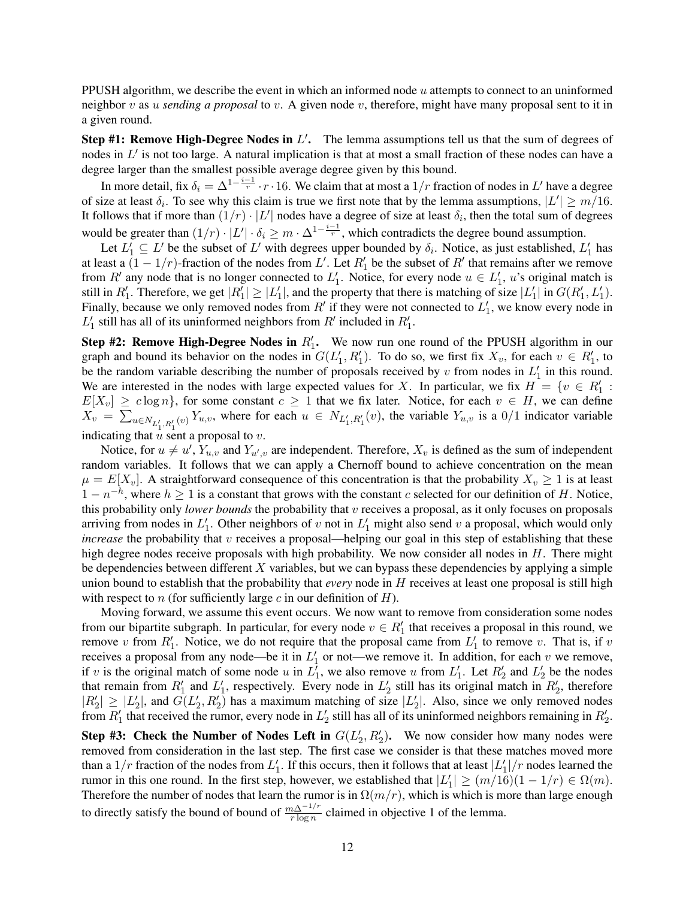PPUSH algorithm, we describe the event in which an informed node u attempts to connect to an uninformed neighbor v as u *sending a proposal* to v. A given node v, therefore, might have many proposal sent to it in a given round.

Step #1: Remove High-Degree Nodes in  $L'$ . The lemma assumptions tell us that the sum of degrees of nodes in  $L'$  is not too large. A natural implication is that at most a small fraction of these nodes can have a degree larger than the smallest possible average degree given by this bound.

In more detail, fix  $\delta_i = \Delta^{1-\frac{i-1}{r}} \cdot r \cdot 16$ . We claim that at most a  $1/r$  fraction of nodes in  $L'$  have a degree of size at least  $\delta_i$ . To see why this claim is true we first note that by the lemma assumptions,  $|L'| \ge m/16$ . It follows that if more than  $(1/r) \cdot |L'|$  nodes have a degree of size at least  $\delta_i$ , then the total sum of degrees would be greater than  $(1/r) \cdot |L'| \cdot \delta_i \geq m \cdot \Delta^{1-\frac{i-1}{r}}$ , which contradicts the degree bound assumption.

Let  $L'_1 \subseteq L'$  be the subset of  $L'$  with degrees upper bounded by  $\delta_i$ . Notice, as just established,  $L'_1$  has at least a  $(1 - 1/r)$ -fraction of the nodes from L'. Let  $R'_1$  be the subset of  $R'$  that remains after we remove from R' any node that is no longer connected to  $L'_1$ . Notice, for every node  $u \in L'_1$ , u's original match is still in  $R'_1$ . Therefore, we get  $|R'_1| \ge |L'_1|$ , and the property that there is matching of size  $|L'_1|$  in  $G(R'_1, L'_1)$ . Finally, because we only removed nodes from  $R'$  if they were not connected to  $L'_1$ , we know every node in  $L'_1$  still has all of its uninformed neighbors from  $R'$  included in  $R'_1$ .

Step #2: Remove High-Degree Nodes in  $R'_1$ . We now run one round of the PPUSH algorithm in our graph and bound its behavior on the nodes in  $G(L'_1, R'_1)$ . To do so, we first fix  $X_v$ , for each  $v \in R'_1$ , to be the random variable describing the number of proposals received by  $v$  from nodes in  $L'_1$  in this round. We are interested in the nodes with large expected values for X. In particular, we fix  $H = \{v \in R_1' :$  $E[X_v] \geq c \log n$ , for some constant  $c \geq 1$  that we fix later. Notice, for each  $v \in H$ , we can define  $X_v = \sum_{u \in N_{L'_1, R'_1}(v)} Y_{u,v}$ , where for each  $u \in N_{L'_1, R'_1}(v)$ , the variable  $Y_{u,v}$  is a  $0/1$  indicator variable indicating that  $u$  sent a proposal to  $v$ .

Notice, for  $u \neq u'$ ,  $Y_{u,v}$  and  $Y_{u',v}$  are independent. Therefore,  $X_v$  is defined as the sum of independent random variables. It follows that we can apply a Chernoff bound to achieve concentration on the mean  $\mu = E[X_v]$ . A straightforward consequence of this concentration is that the probability  $X_v \geq 1$  is at least  $1 - n^{-h}$ , where  $h \ge 1$  is a constant that grows with the constant c selected for our definition of H. Notice, this probability only *lower bounds* the probability that v receives a proposal, as it only focuses on proposals arriving from nodes in  $L'_1$ . Other neighbors of v not in  $L'_1$  might also send v a proposal, which would only *increase* the probability that v receives a proposal—helping our goal in this step of establishing that these high degree nodes receive proposals with high probability. We now consider all nodes in  $H$ . There might be dependencies between different  $X$  variables, but we can bypass these dependencies by applying a simple union bound to establish that the probability that *every* node in H receives at least one proposal is still high with respect to n (for sufficiently large c in our definition of  $H$ ).

Moving forward, we assume this event occurs. We now want to remove from consideration some nodes from our bipartite subgraph. In particular, for every node  $v \in R'_1$  that receives a proposal in this round, we remove v from  $R'_1$ . Notice, we do not require that the proposal came from  $L'_1$  to remove v. That is, if v receives a proposal from any node—be it in  $L'_1$  or not—we remove it. In addition, for each v we remove, if v is the original match of some node u in  $L_1^7$ , we also remove u from  $L_1^{\prime}$ . Let  $R_2^{\prime}$  and  $L_2^{\prime}$  be the nodes that remain from  $R'_1$  and  $L'_1$ , respectively. Every node in  $L'_2$  still has its original match in  $R'_2$ , therefore  $|R'_2| \geq |L'_2|$ , and  $G(L'_2, R'_2)$  has a maximum matching of size  $|L'_2|$ . Also, since we only removed nodes from  $R'_1$  that received the rumor, every node in  $L'_2$  still has all of its uninformed neighbors remaining in  $R'_2$ .

Step #3: Check the Number of Nodes Left in  $G(L'_2, R'_2)$ . We now consider how many nodes were removed from consideration in the last step. The first case we consider is that these matches moved more than a  $1/r$  fraction of the nodes from  $L'_1$ . If this occurs, then it follows that at least  $|L'_1|/r$  nodes learned the rumor in this one round. In the first step, however, we established that  $|L'_1| \ge (m/16)(1 - 1/r) \in \Omega(m)$ . Therefore the number of nodes that learn the rumor is in  $\Omega(m/r)$ , which is which is more than large enough to directly satisfy the bound of bound of  $\frac{m\Delta^{-1/r}}{r \log n}$  claimed in objective 1 of the lemma.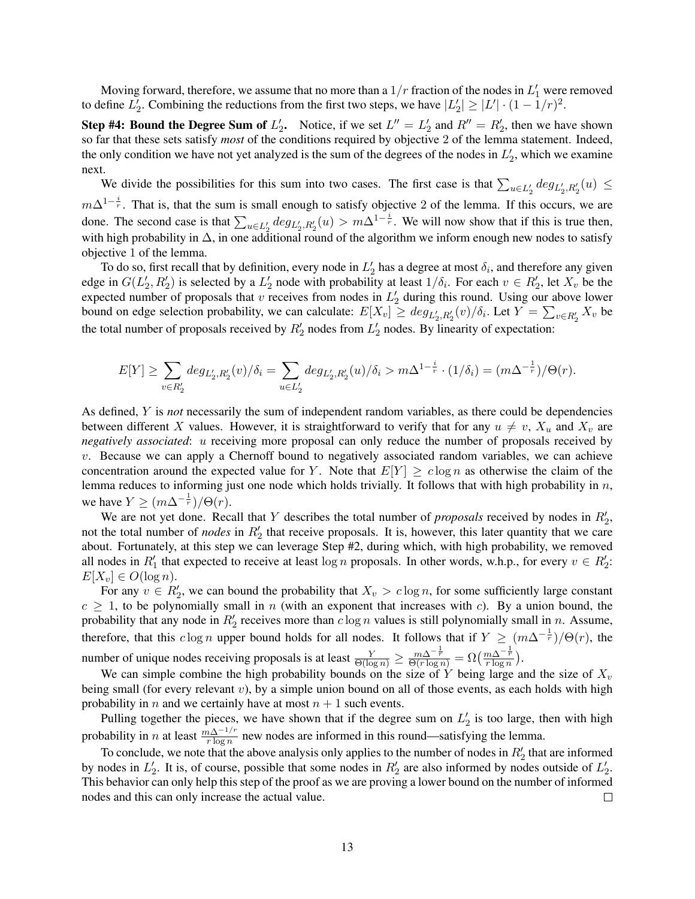Moving forward, therefore, we assume that no more than a  $1/r$  fraction of the nodes in  $L'_1$  were removed to define  $L'_2$ . Combining the reductions from the first two steps, we have  $|L'_2| \ge |L'| \cdot (1 - 1/r)^2$ .

**Step #4: Bound the Degree Sum of**  $L'_2$ . Notice, if we set  $L'' = L'_2$  and  $R'' = R'_2$ , then we have shown so far that these sets satisfy *most* of the conditions required by objective 2 of the lemma statement. Indeed, the only condition we have not yet analyzed is the sum of the degrees of the nodes in  $L'_2$ , which we examine next.

We divide the possibilities for this sum into two cases. The first case is that  $\sum_{u\in L_2'} deg_{L_2',R_2'}(u) \le$  $m\Delta^{1-\frac{i}{r}}$ . That is, that the sum is small enough to satisfy objective 2 of the lemma. If this occurs, we are done. The second case is that  $\sum_{u \in L'_2} deg_{L'_2, R'_2}(u) > m\Delta^{1-\frac{i}{r}}$ . We will now show that if this is true then, with high probability in  $\Delta$ , in one additional round of the algorithm we inform enough new nodes to satisfy objective 1 of the lemma.

To do so, first recall that by definition, every node in  $L'_2$  has a degree at most  $\delta_i$ , and therefore any given edge in  $G(L'_2, R'_2)$  is selected by a  $L'_2$  node with probability at least  $1/\delta_i$ . For each  $v \in R'_2$ , let  $X_v$  be the expected number of proposals that v receives from nodes in  $L'_2$  during this round. Using our above lower bound on edge selection probability, we can calculate:  $E[X_v] \ge \deg_{L'_2, R'_2}(v)/\delta_i$ . Let  $Y = \sum_{v \in R'_2} X_v$  be the total number of proposals received by  $R'_2$  nodes from  $L'_2$  nodes. By linearity of expectation:

$$
E[Y] \ge \sum_{v \in R'_2} deg_{L'_2, R'_2}(v)/\delta_i = \sum_{u \in L'_2} deg_{L'_2, R'_2}(u)/\delta_i > m\Delta^{1-\frac{i}{r}} \cdot (1/\delta_i) = (m\Delta^{-\frac{1}{r}})/\Theta(r).
$$

As defined, Y is *not* necessarily the sum of independent random variables, as there could be dependencies between different X values. However, it is straightforward to verify that for any  $u \neq v$ ,  $X_u$  and  $X_v$  are *negatively associated*: u receiving more proposal can only reduce the number of proposals received by  $v$ . Because we can apply a Chernoff bound to negatively associated random variables, we can achieve concentration around the expected value for Y. Note that  $E[Y] \geq c \log n$  as otherwise the claim of the lemma reduces to informing just one node which holds trivially. It follows that with high probability in  $n$ , we have  $Y \ge (m\Delta^{-\frac{1}{r}})/\Theta(r)$ .

We are not yet done. Recall that  $Y$  describes the total number of *proposals* received by nodes in  $R'_2$ , not the total number of *nodes* in  $R'_2$  that receive proposals. It is, however, this later quantity that we care about. Fortunately, at this step we can leverage Step #2, during which, with high probability, we removed all nodes in  $R'_1$  that expected to receive at least log n proposals. In other words, w.h.p., for every  $v \in R'_2$ :  $E[X_v] \in O(\log n).$ 

For any  $v \in R'_2$ , we can bound the probability that  $X_v > c \log n$ , for some sufficiently large constant  $c \ge 1$ , to be polynomially small in n (with an exponent that increases with c). By a union bound, the probability that any node in  $R'_2$  receives more than  $c \log n$  values is still polynomially small in n. Assume, therefore, that this  $c \log n$  upper bound holds for all nodes. It follows that if  $Y \ge (m\Delta^{-\frac{1}{r}})/\Theta(r)$ , the number of unique nodes receiving proposals is at least  $\frac{Y}{\Theta(\log n)} \ge \frac{m\Delta^{-\frac{1}{r}}}{\Theta(r\log n)} = \Omega(\frac{m\Delta^{-\frac{1}{r}}}{r\log n})$ .

We can simple combine the high probability bounds on the size of Y being large and the size of  $X_v$ being small (for every relevant  $v$ ), by a simple union bound on all of those events, as each holds with high probability in *n* and we certainly have at most  $n + 1$  such events.

Pulling together the pieces, we have shown that if the degree sum on  $L'_2$  is too large, then with high probability in *n* at least  $\frac{m\Delta^{-1/r}}{r \log n}$  new nodes are informed in this round—satisfying the lemma.

To conclude, we note that the above analysis only applies to the number of nodes in  $R_2'$  that are informed by nodes in  $L'_2$ . It is, of course, possible that some nodes in  $R'_2$  are also informed by nodes outside of  $L'_2$ . This behavior can only help this step of the proof as we are proving a lower bound on the number of informed nodes and this can only increase the actual value.  $\Box$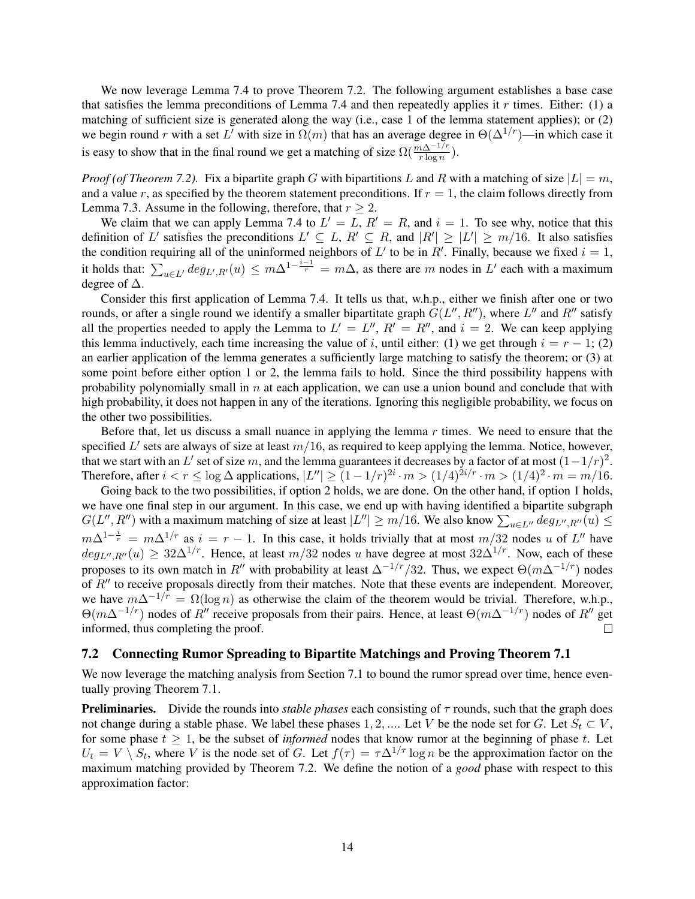We now leverage Lemma 7.4 to prove Theorem 7.2. The following argument establishes a base case that satisfies the lemma preconditions of Lemma 7.4 and then repeatedly applies it r times. Either: (1) a matching of sufficient size is generated along the way (i.e., case 1 of the lemma statement applies); or (2) we begin round r with a set L' with size in  $\Omega(m)$  that has an average degree in  $\Theta(\Delta^{1/r})$ —in which case it is easy to show that in the final round we get a matching of size  $\Omega(\frac{m\Delta^{-1/r}}{r\log n})$ .

*Proof (of Theorem 7.2).* Fix a bipartite graph G with bipartitions L and R with a matching of size  $|L| = m$ , and a value r, as specified by the theorem statement preconditions. If  $r = 1$ , the claim follows directly from Lemma 7.3. Assume in the following, therefore, that  $r > 2$ .

We claim that we can apply Lemma 7.4 to  $L' = L$ ,  $R' = R$ , and  $i = 1$ . To see why, notice that this definition of L' satisfies the preconditions  $L' \subseteq L$ ,  $R' \subseteq R$ , and  $|R'| \geq |L'| \geq m/16$ . It also satisfies the condition requiring all of the uninformed neighbors of L' to be in R'. Finally, because we fixed  $i = 1$ , it holds that:  $\sum_{u \in L'} deg_{L',R'}(u) \leq m\Delta^{1-\frac{i-1}{r}} = m\Delta$ , as there are m nodes in L' each with a maximum degree of ∆.

Consider this first application of Lemma 7.4. It tells us that, w.h.p., either we finish after one or two rounds, or after a single round we identify a smaller bipartitate graph  $G(L'', R'')$ , where  $L''$  and  $R''$  satisfy all the properties needed to apply the Lemma to  $L' = L''$ ,  $R' = R''$ , and  $i = 2$ . We can keep applying this lemma inductively, each time increasing the value of i, until either: (1) we get through  $i = r - 1$ ; (2) an earlier application of the lemma generates a sufficiently large matching to satisfy the theorem; or (3) at some point before either option 1 or 2, the lemma fails to hold. Since the third possibility happens with probability polynomially small in  $n$  at each application, we can use a union bound and conclude that with high probability, it does not happen in any of the iterations. Ignoring this negligible probability, we focus on the other two possibilities.

Before that, let us discuss a small nuance in applying the lemma  $r$  times. We need to ensure that the specified  $L'$  sets are always of size at least  $m/16$ , as required to keep applying the lemma. Notice, however, that we start with an L' set of size m, and the lemma guarantees it decreases by a factor of at most  $(1-1/r)^2$ . Therefore, after  $i < r \leq \log \Delta$  applications,  $|L''| \geq (1 - 1/r)^{2i} \cdot m > (1/4)^{2i/r} \cdot m > (1/4)^2 \cdot m = m/16$ .

Going back to the two possibilities, if option 2 holds, we are done. On the other hand, if option 1 holds, we have one final step in our argument. In this case, we end up with having identified a bipartite subgraph  $G(L'', R'')$  with a maximum matching of size at least  $|L''| \ge m/16$ . We also know  $\sum_{u \in L''} deg_{L'', R''}(u) \le$  $m\Delta^{1-\frac{i}{r}} = m\Delta^{1/r}$  as  $i = r - 1$ . In this case, it holds trivially that at most  $m/32$  nodes u of L'' have  $deg_{L^{\prime\prime},R^{\prime\prime}}(u) \geq 32\Delta^{1/r}$ . Hence, at least  $m/32$  nodes u have degree at most  $32\Delta^{1/r}$ . Now, each of these proposes to its own match in R<sup>0</sup> with probability at least  $\Delta^{-1/r}/32$ . Thus, we expect  $\Theta(m\Delta^{-1/r})$  nodes of  $R''$  to receive proposals directly from their matches. Note that these events are independent. Moreover, we have  $m\Delta^{-1/\tilde{r}} = \Omega(\log n)$  as otherwise the claim of the theorem would be trivial. Therefore, w.h.p.,  $Θ(m\Delta^{-1/r})$  nodes of R<sup>n</sup> receive proposals from their pairs. Hence, at least  $Θ(m\Delta^{-1/r})$  nodes of R<sup>n</sup> get informed, thus completing the proof.  $\Box$ 

#### 7.2 Connecting Rumor Spreading to Bipartite Matchings and Proving Theorem 7.1

We now leverage the matching analysis from Section 7.1 to bound the rumor spread over time, hence eventually proving Theorem 7.1.

**Preliminaries.** Divide the rounds into *stable phases* each consisting of  $\tau$  rounds, such that the graph does not change during a stable phase. We label these phases 1, 2, .... Let V be the node set for G. Let  $S_t \subset V$ , for some phase  $t \geq 1$ , be the subset of *informed* nodes that know rumor at the beginning of phase t. Let  $U_t = V \setminus S_t$ , where V is the node set of G. Let  $f(\tau) = \tau \Delta^{1/\tau} \log n$  be the approximation factor on the maximum matching provided by Theorem 7.2. We define the notion of a *good* phase with respect to this approximation factor: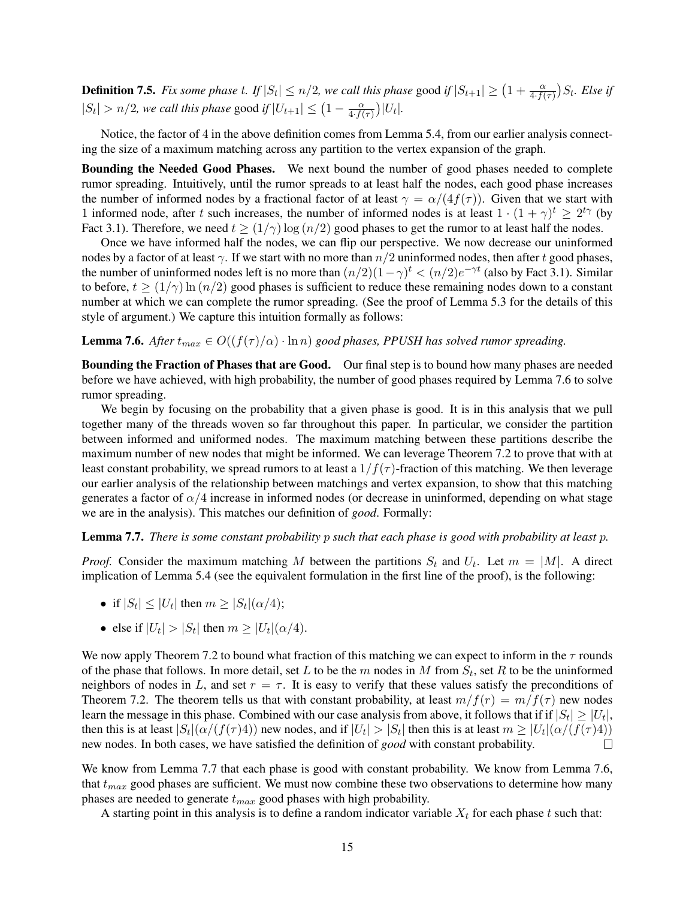**Definition 7.5.** Fix some phase t. If  $|S_t| \le n/2$ , we call this phase good if  $|S_{t+1}| \ge (1 + \frac{\alpha}{4 \cdot f(\tau)}) S_t$ . Else if  $|S_t| > n/2$ , we call this phase good if  $|U_{t+1}| \leq (1 - \frac{\alpha}{4 + t})$  $\frac{\alpha}{4 \cdot f(\tau)}\Big)|U_t|.$ 

Notice, the factor of 4 in the above definition comes from Lemma 5.4, from our earlier analysis connecting the size of a maximum matching across any partition to the vertex expansion of the graph.

Bounding the Needed Good Phases. We next bound the number of good phases needed to complete rumor spreading. Intuitively, until the rumor spreads to at least half the nodes, each good phase increases the number of informed nodes by a fractional factor of at least  $\gamma = \alpha/(4f(\tau))$ . Given that we start with 1 informed node, after t such increases, the number of informed nodes is at least  $1 \cdot (1 + \gamma)^t \geq 2^{t\gamma}$  (by Fact 3.1). Therefore, we need  $t \ge (1/\gamma) \log(n/2)$  good phases to get the rumor to at least half the nodes.

Once we have informed half the nodes, we can flip our perspective. We now decrease our uninformed nodes by a factor of at least  $\gamma$ . If we start with no more than  $n/2$  uninformed nodes, then after t good phases, the number of uninformed nodes left is no more than  $(n/2)(1-\gamma)^t < (n/2)e^{-\gamma t}$  (also by Fact 3.1). Similar to before,  $t \ge (1/\gamma) \ln(n/2)$  good phases is sufficient to reduce these remaining nodes down to a constant number at which we can complete the rumor spreading. (See the proof of Lemma 5.3 for the details of this style of argument.) We capture this intuition formally as follows:

**Lemma 7.6.** *After*  $t_{max} \in O((f(\tau)/\alpha) \cdot \ln n)$  *good phases, PPUSH has solved rumor spreading.* 

Bounding the Fraction of Phases that are Good. Our final step is to bound how many phases are needed before we have achieved, with high probability, the number of good phases required by Lemma 7.6 to solve rumor spreading.

We begin by focusing on the probability that a given phase is good. It is in this analysis that we pull together many of the threads woven so far throughout this paper. In particular, we consider the partition between informed and uniformed nodes. The maximum matching between these partitions describe the maximum number of new nodes that might be informed. We can leverage Theorem 7.2 to prove that with at least constant probability, we spread rumors to at least a  $1/f(\tau)$ -fraction of this matching. We then leverage our earlier analysis of the relationship between matchings and vertex expansion, to show that this matching generates a factor of  $\alpha/4$  increase in informed nodes (or decrease in uninformed, depending on what stage we are in the analysis). This matches our definition of *good*. Formally:

Lemma 7.7. *There is some constant probability* p *such that each phase is good with probability at least* p*.*

*Proof.* Consider the maximum matching M between the partitions  $S_t$  and  $U_t$ . Let  $m = |M|$ . A direct implication of Lemma 5.4 (see the equivalent formulation in the first line of the proof), is the following:

- if  $|S_t| \leq |U_t|$  then  $m \geq |S_t|(\alpha/4)$ ;
- else if  $|U_t| > |S_t|$  then  $m \ge |U_t| (\alpha/4)$ .

We now apply Theorem 7.2 to bound what fraction of this matching we can expect to inform in the  $\tau$  rounds of the phase that follows. In more detail, set L to be the m nodes in M from  $S_t$ , set R to be the uninformed neighbors of nodes in L, and set  $r = \tau$ . It is easy to verify that these values satisfy the preconditions of Theorem 7.2. The theorem tells us that with constant probability, at least  $m/f(r) = m/f(\tau)$  new nodes learn the message in this phase. Combined with our case analysis from above, it follows that if if  $|S_t| \geq |U_t|,$ then this is at least  $|S_t|(\alpha/(f(\tau)4))$  new nodes, and if  $|U_t|>|S_t|$  then this is at least  $m \geq |U_t|(\alpha/(f(\tau)4))$ new nodes. In both cases, we have satisfied the definition of *good* with constant probability.  $\Box$ 

We know from Lemma 7.7 that each phase is good with constant probability. We know from Lemma 7.6, that  $t_{max}$  good phases are sufficient. We must now combine these two observations to determine how many phases are needed to generate  $t_{max}$  good phases with high probability.

A starting point in this analysis is to define a random indicator variable  $X_t$  for each phase t such that: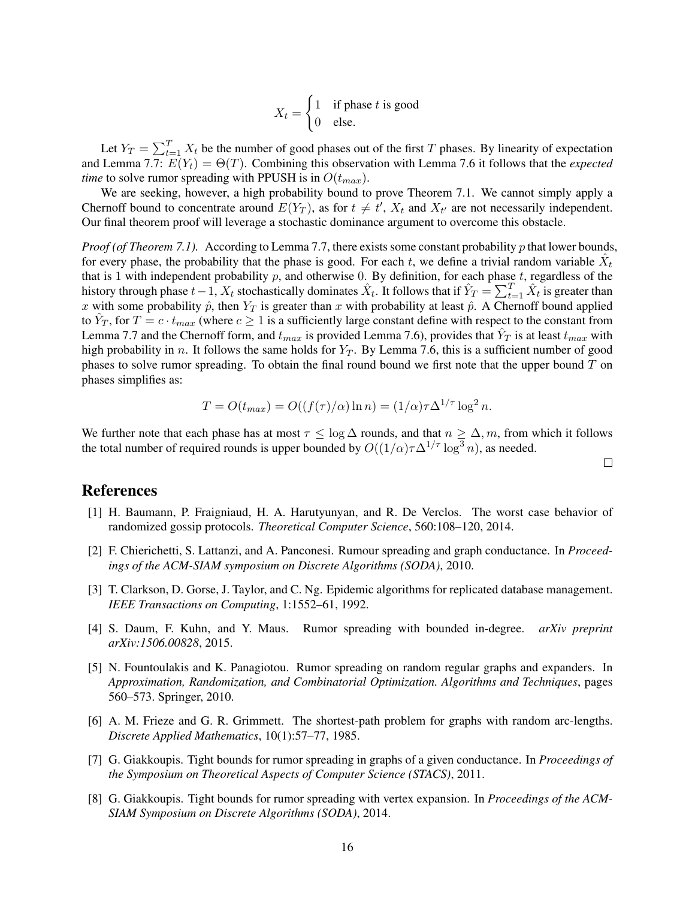$X_t =$  $\int 1$  if phase t is good 0 else.

Let  $Y_T = \sum_{t=1}^T X_t$  be the number of good phases out of the first T phases. By linearity of expectation and Lemma 7.7:  $E(Y_t) = \Theta(T)$ . Combining this observation with Lemma 7.6 it follows that the *expected time* to solve rumor spreading with PPUSH is in  $O(t_{max})$ .

We are seeking, however, a high probability bound to prove Theorem 7.1. We cannot simply apply a Chernoff bound to concentrate around  $E(Y_T)$ , as for  $t \neq t'$ ,  $X_t$  and  $X_{t'}$  are not necessarily independent. Our final theorem proof will leverage a stochastic dominance argument to overcome this obstacle.

*Proof (of Theorem 7.1).* According to Lemma 7.7, there exists some constant probability p that lower bounds, for every phase, the probability that the phase is good. For each t, we define a trivial random variable  $\hat{X}_t$ that is 1 with independent probability  $p$ , and otherwise 0. By definition, for each phase  $t$ , regardless of the history through phase  $t-1$ ,  $X_t$  stochastically dominates  $\hat{X}_t$ . It follows that if  $\hat{Y}_T = \sum_{t=1}^T \hat{X}_t$  is greater than x with some probability  $\hat{p}$ , then  $Y_T$  is greater than x with probability at least  $\hat{p}$ . A Chernoff bound applied to  $\hat{Y}_T$ , for  $T = c \cdot t_{max}$  (where  $c \ge 1$  is a sufficiently large constant define with respect to the constant from Lemma 7.7 and the Chernoff form, and  $t_{max}$  is provided Lemma 7.6), provides that  $\hat{Y}_T$  is at least  $t_{max}$  with high probability in n. It follows the same holds for  $Y_T$ . By Lemma 7.6, this is a sufficient number of good phases to solve rumor spreading. To obtain the final round bound we first note that the upper bound  $T$  on phases simplifies as:

$$
T = O(t_{max}) = O((f(\tau)/\alpha)\ln n) = (1/\alpha)\tau\Delta^{1/\tau}\log^2 n.
$$

We further note that each phase has at most  $\tau \leq \log \Delta$  rounds, and that  $n \geq \Delta, m$ , from which it follows the total number of required rounds is upper bounded by  $O((1/\alpha)\tau\Delta^{1/\tau}\log^3 n)$ , as needed.

#### $\Box$

## References

- [1] H. Baumann, P. Fraigniaud, H. A. Harutyunyan, and R. De Verclos. The worst case behavior of randomized gossip protocols. *Theoretical Computer Science*, 560:108–120, 2014.
- [2] F. Chierichetti, S. Lattanzi, and A. Panconesi. Rumour spreading and graph conductance. In *Proceedings of the ACM-SIAM symposium on Discrete Algorithms (SODA)*, 2010.
- [3] T. Clarkson, D. Gorse, J. Taylor, and C. Ng. Epidemic algorithms for replicated database management. *IEEE Transactions on Computing*, 1:1552–61, 1992.
- [4] S. Daum, F. Kuhn, and Y. Maus. Rumor spreading with bounded in-degree. *arXiv preprint arXiv:1506.00828*, 2015.
- [5] N. Fountoulakis and K. Panagiotou. Rumor spreading on random regular graphs and expanders. In *Approximation, Randomization, and Combinatorial Optimization. Algorithms and Techniques*, pages 560–573. Springer, 2010.
- [6] A. M. Frieze and G. R. Grimmett. The shortest-path problem for graphs with random arc-lengths. *Discrete Applied Mathematics*, 10(1):57–77, 1985.
- [7] G. Giakkoupis. Tight bounds for rumor spreading in graphs of a given conductance. In *Proceedings of the Symposium on Theoretical Aspects of Computer Science (STACS)*, 2011.
- [8] G. Giakkoupis. Tight bounds for rumor spreading with vertex expansion. In *Proceedings of the ACM-SIAM Symposium on Discrete Algorithms (SODA)*, 2014.